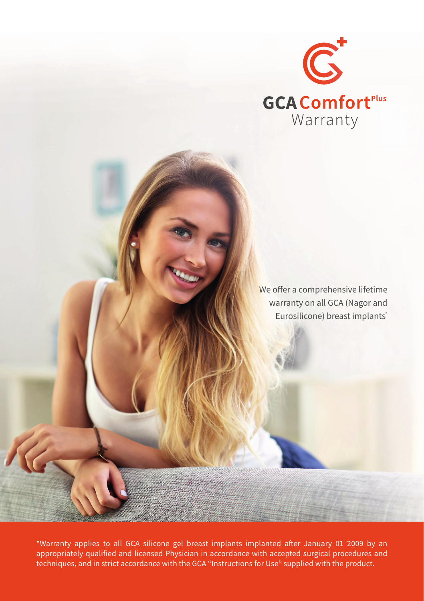

We offer a comprehensive lifetime warranty on all GCA (Nagor and Eurosilicone) breast implants<sup>\*</sup>

\*Warranty applies to all GCA silicone gel breast implants implanted after January 01 2009 by an appropriately qualified and licensed Physician in accordance with accepted surgical procedures and techniques, and in strict accordance with the GCA "Instructions for Use" supplied with the product.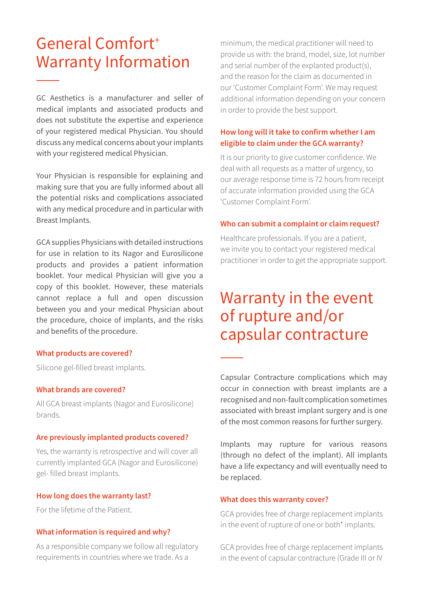# General Comfort+ Warranty Information

GC Aesthetics is a manufacturer and seller of medical implants and associated products and does not substitute the expertise and experience of your registered medical Physician. You should discuss any medical concerns about your implants with your registered medical Physician.

Your Physician is responsible for explaining and making sure that you are fully informed about all the potential risks and complications associated with any medical procedure and in particular with Breast Implants.

GCA supplies Physicians with detailed instructions for use in relation to its Nagor and Eurosilicone products and provides a patient information booklet. Your medical Physician will give you a copy of this booklet. However, these materials cannot replace a full and open discussion between you and your medical Physician about the procedure, choice of implants, and the risks and benefits of the procedure.

#### **What products are covered?**

Silicone gel-filled breast implants.

### **What brands are covered?**

All GCA breast implants (Nagor and Eurosilicone) brands.

#### **Are previously implanted products covered?**

Yes, the warranty is retrospective and will cover all currently implanted GCA (Nagor and Eurosilicone) gel- filled breast implants.

#### **How long does the warranty last?**

For the lifetime of the Patient.

### **What information is required and why?**

As a responsible company we follow all regulatory requirements in countries where we trade. As a

minimum, the medical practitioner will need to provide us with: the brand, model, size, lot number and serial number of the explanted product(s), and the reason for the claim as documented in our 'Customer Complaint Form'. We may request additional information depending on your concern in order to provide the best support.

## **How long will it take to confirm whether I am eligible to claim under the GCA warranty?**

It is our priority to give customer confidence. We deal with all requests as a matter of urgency, so our average response time is 72 hours from receipt of accurate information provided using the GCA 'Customer Complaint Form'.

#### **Who can submit a complaint or claim request?**

Healthcare professionals. If you are a patient, we invite you to contact your registered medical practitioner in order to get the appropriate support.

## Warranty in the event of rupture and/or capsular contracture

Capsular Contracture complications which may occur in connection with breast implants are a recognised and non-fault complication sometimes associated with breast implant surgery and is one of the most common reasons for further surgery.

Implants may rupture for various reasons (through no defect of the implant). All implants have a life expectancy and will eventually need to be replaced.

### **What does this warranty cover?**

GCA provides free of charge replacement implants in the event of rupture of one or both\* implants.

GCA provides free of charge replacement implants in the event of capsular contracture (Grade III or IV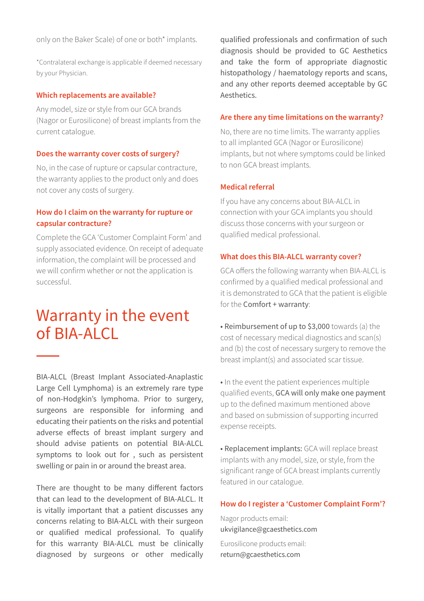only on the Baker Scale) of one or both\* implants.

\*Contralateral exchange is applicable if deemed necessary by your Physician.

#### **Which replacements are available?**

Any model, size or style from our GCA brands (Nagor or Eurosilicone) of breast implants from the current catalogue.

#### **Does the warranty cover costs of surgery?**

No, in the case of rupture or capsular contracture, the warranty applies to the product only and does not cover any costs of surgery.

## **How do I claim on the warranty for rupture or capsular contracture?**

Complete the GCA 'Customer Complaint Form' and supply associated evidence. On receipt of adequate information, the complaint will be processed and we will confirm whether or not the application is successful.

## Warranty in the event of BIA-ALCL

BIA-ALCL (Breast Implant Associated-Anaplastic Large Cell Lymphoma) is an extremely rare type of non-Hodgkin's lymphoma. Prior to surgery, surgeons are responsible for informing and educating their patients on the risks and potential adverse effects of breast implant surgery and should advise patients on potential BIA-ALCL symptoms to look out for , such as persistent swelling or pain in or around the breast area.

There are thought to be many different factors that can lead to the development of BIA-ALCL. It is vitally important that a patient discusses any concerns relating to BIA-ALCL with their surgeon or qualified medical professional. To qualify for this warranty BIA-ALCL must be clinically diagnosed by surgeons or other medically qualified professionals and confirmation of such diagnosis should be provided to GC Aesthetics and take the form of appropriate diagnostic histopathology / haematology reports and scans, and any other reports deemed acceptable by GC Aesthetics.

#### **Are there any time limitations on the warranty?**

No, there are no time limits. The warranty applies to all implanted GCA (Nagor or Eurosilicone) implants, but not where symptoms could be linked to non GCA breast implants.

### **Medical referral**

If you have any concerns about BIA-ALCL in connection with your GCA implants you should discuss those concerns with your surgeon or qualified medical professional.

### **What does this BIA-ALCL warranty cover?**

GCA offers the following warranty when BIA-ALCL is confirmed by a qualified medical professional and it is demonstrated to GCA that the patient is eligible for the Comfort + warranty:

• Reimbursement of up to \$3,000 towards (a) the cost of necessary medical diagnostics and scan(s) and (b) the cost of necessary surgery to remove the breast implant(s) and associated scar tissue.

• In the event the patient experiences multiple qualified events, GCA will only make one payment up to the defined maximum mentioned above and based on submission of supporting incurred expense receipts.

• Replacement implants: GCA will replace breast implants with any model, size, or style, from the significant range of GCA breast implants currently featured in our catalogue.

## **How do I register a 'Customer Complaint Form'?**

Nagor products email: ukvigilance@gcaesthetics.com Eurosilicone products email: return@gcaesthetics.com